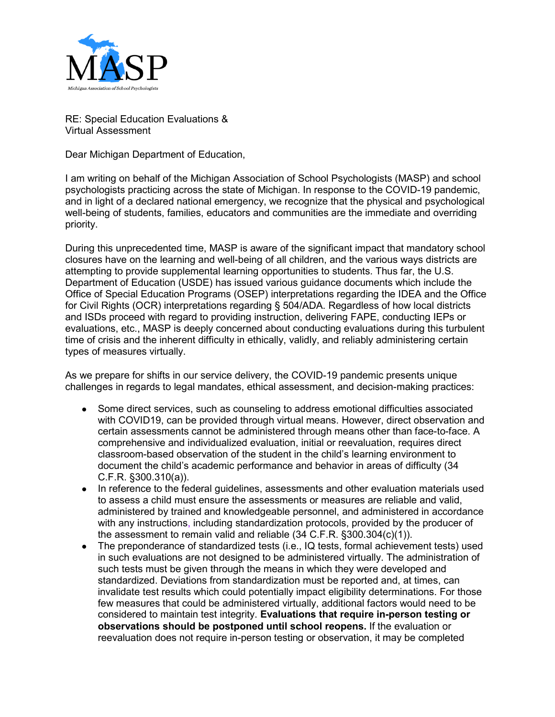

RE: Special Education Evaluations & Virtual Assessment

Dear Michigan Department of Education,

I am writing on behalf of the Michigan Association of School Psychologists (MASP) and school psychologists practicing across the state of Michigan. In response to the COVID-19 pandemic, and in light of a declared national emergency, we recognize that the physical and psychological well-being of students, families, educators and communities are the immediate and overriding priority.

During this unprecedented time, MASP is aware of the significant impact that mandatory school closures have on the learning and well-being of all children, and the various ways districts are attempting to provide supplemental learning opportunities to students. Thus far, the U.S. Department of Education (USDE) has issued various guidance documents which include the Office of Special Education Programs (OSEP) interpretations regarding the IDEA and the Office for Civil Rights (OCR) interpretations regarding § 504/ADA. Regardless of how local districts and ISDs proceed with regard to providing instruction, delivering FAPE, conducting IEPs or evaluations, etc., MASP is deeply concerned about conducting evaluations during this turbulent time of crisis and the inherent difficulty in ethically, validly, and reliably administering certain types of measures virtually.

As we prepare for shifts in our service delivery, the COVID-19 pandemic presents unique challenges in regards to legal mandates, ethical assessment, and decision-making practices:

- Some direct services, such as counseling to address emotional difficulties associated with COVID19, can be provided through virtual means. However, direct observation and certain assessments cannot be administered through means other than face-to-face. A comprehensive and individualized evaluation, initial or reevaluation, requires direct classroom-based observation of the student in the child's learning environment to document the child's academic performance and behavior in areas of difficulty (34 C.F.R. §300.310(a)).
- In reference to the federal guidelines, assessments and other evaluation materials used to assess a child must ensure the assessments or measures are reliable and valid, administered by trained and knowledgeable personnel, and administered in accordance with any instructions, including standardization protocols, provided by the producer of the assessment to remain valid and reliable (34 C.F.R. §300.304(c)(1)).
- The preponderance of standardized tests (i.e., IQ tests, formal achievement tests) used in such evaluations are not designed to be administered virtually. The administration of such tests must be given through the means in which they were developed and standardized. Deviations from standardization must be reported and, at times, can invalidate test results which could potentially impact eligibility determinations. For those few measures that could be administered virtually, additional factors would need to be considered to maintain test integrity. **Evaluations that require in-person testing or observations should be postponed until school reopens.** If the evaluation or reevaluation does not require in-person testing or observation, it may be completed